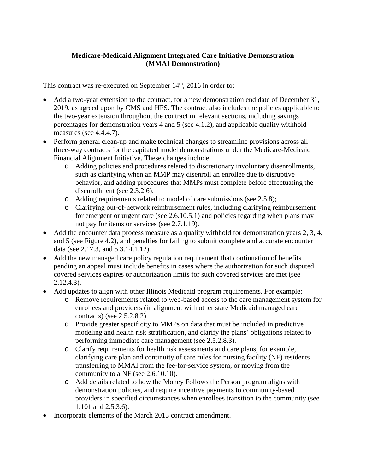## **Medicare-Medicaid Alignment Integrated Care Initiative Demonstration (MMAI Demonstration)**

This contract was re-executed on September 14<sup>th</sup>, 2016 in order to:

- Add a two-year extension to the contract, for a new demonstration end date of December 31, 2019, as agreed upon by CMS and HFS. The contract also includes the policies applicable to the two-year extension throughout the contract in relevant sections, including savings percentages for demonstration years 4 and 5 (see 4.1.2), and applicable quality withhold measures (see 4.4.4.7).
- Perform general clean-up and make technical changes to streamline provisions across all three-way contracts for the capitated model demonstrations under the Medicare-Medicaid Financial Alignment Initiative. These changes include:
	- o Adding policies and procedures related to discretionary involuntary disenrollments, such as clarifying when an MMP may disenroll an enrollee due to disruptive behavior, and adding procedures that MMPs must complete before effectuating the disenrollment (see 2.3.2.6);
	- o Adding requirements related to model of care submissions (see 2.5.8);
	- o Clarifying out-of-network reimbursement rules, including clarifying reimbursement for emergent or urgent care (see 2.6.10.5.1) and policies regarding when plans may not pay for items or services (see 2.7.1.19).
- Add the encounter data process measure as a quality withhold for demonstration years 2, 3, 4, and 5 (see Figure 4.2), and penalties for failing to submit complete and accurate encounter data (see 2.17.3, and 5.3.14.1.12).
- Add the new managed care policy regulation requirement that continuation of benefits pending an appeal must include benefits in cases where the authorization for such disputed covered services expires or authorization limits for such covered services are met (see 2.12.4.3).
- Add updates to align with other Illinois Medicaid program requirements. For example:
	- o Remove requirements related to web-based access to the care management system for enrollees and providers (in alignment with other state Medicaid managed care contracts) (see 2.5.2.8.2).
	- o Provide greater specificity to MMPs on data that must be included in predictive modeling and health risk stratification, and clarify the plans' obligations related to performing immediate care management (see 2.5.2.8.3).
	- o Clarify requirements for health risk assessments and care plans, for example, clarifying care plan and continuity of care rules for nursing facility (NF) residents transferring to MMAI from the fee-for-service system, or moving from the community to a NF (see 2.6.10.10).
	- o Add details related to how the Money Follows the Person program aligns with demonstration policies, and require incentive payments to community-based providers in specified circumstances when enrollees transition to the community (see 1.101 and 2.5.3.6).
- Incorporate elements of the March 2015 contract amendment.